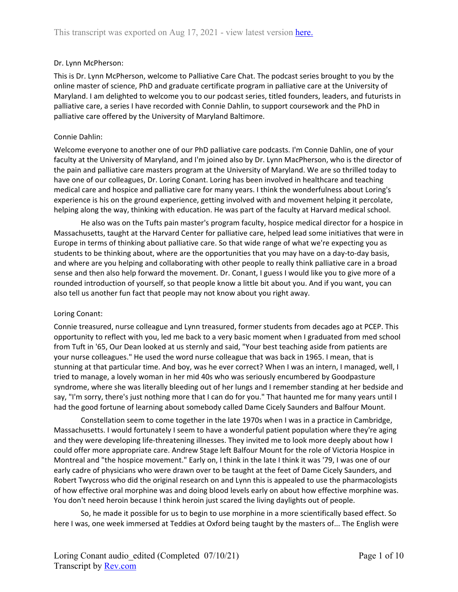### Dr. Lynn McPherson:

This is Dr. Lynn McPherson, welcome to Palliative Care Chat. The podcast series brought to you by the online master of science, PhD and graduate certificate program in palliative care at the University of Maryland. I am delighted to welcome you to our podcast series, titled founders, leaders, and futurists in palliative care, a series I have recorded with Connie Dahlin, to support coursework and the PhD in palliative care offered by the University of Maryland Baltimore.

### Connie Dahlin:

Welcome everyone to another one of our PhD palliative care podcasts. I'm Connie Dahlin, one of your faculty at the University of Maryland, and I'm joined also by Dr. Lynn MacPherson, who is the director of the pain and palliative care masters program at the University of Maryland. We are so thrilled today to have one of our colleagues, Dr. Loring Conant. Loring has been involved in healthcare and teaching medical care and hospice and palliative care for many years. I think the wonderfulness about Loring's experience is his on the ground experience, getting involved with and movement helping it percolate, helping along the way, thinking with education. He was part of the faculty at Harvard medical school.

He also was on the Tufts pain master's program faculty, hospice medical director for a hospice in Massachusetts, taught at the Harvard Center for palliative care, helped lead some initiatives that were in Europe in terms of thinking about palliative care. So that wide range of what we're expecting you as students to be thinking about, where are the opportunities that you may have on a day-to-day basis, and where are you helping and collaborating with other people to really think palliative care in a broad sense and then also help forward the movement. Dr. Conant, I guess I would like you to give more of a rounded introduction of yourself, so that people know a little bit about you. And if you want, you can also tell us another fun fact that people may not know about you right away.

### Loring Conant:

Connie treasured, nurse colleague and Lynn treasured, former students from decades ago at PCEP. This opportunity to reflect with you, led me back to a very basic moment when I graduated from med school from Tuft in '65, Our Dean looked at us sternly and said, "Your best teaching aside from patients are your nurse colleagues." He used the word nurse colleague that was back in 1965. I mean, that is stunning at that particular time. And boy, was he ever correct? When I was an intern, I managed, well, I tried to manage, a lovely woman in her mid 40s who was seriously encumbered by Goodpasture syndrome, where she was literally bleeding out of her lungs and I remember standing at her bedside and say, "I'm sorry, there's just nothing more that I can do for you." That haunted me for many years until I had the good fortune of learning about somebody called Dame Cicely Saunders and Balfour Mount.

Constellation seem to come together in the late 1970s when I was in a practice in Cambridge, Massachusetts. I would fortunately I seem to have a wonderful patient population where they're aging and they were developing life-threatening illnesses. They invited me to look more deeply about how I could offer more appropriate care. Andrew Stage left Balfour Mount for the role of Victoria Hospice in Montreal and "the hospice movement." Early on, I think in the late I think it was '79, I was one of our early cadre of physicians who were drawn over to be taught at the feet of Dame Cicely Saunders, and Robert Twycross who did the original research on and Lynn this is appealed to use the pharmacologists of how effective oral morphine was and doing blood levels early on about how effective morphine was. You don't need heroin because I think heroin just scared the living daylights out of people.

So, he made it possible for us to begin to use morphine in a more scientifically based effect. So here I was, one week immersed at Teddies at Oxford being taught by the masters of... The English were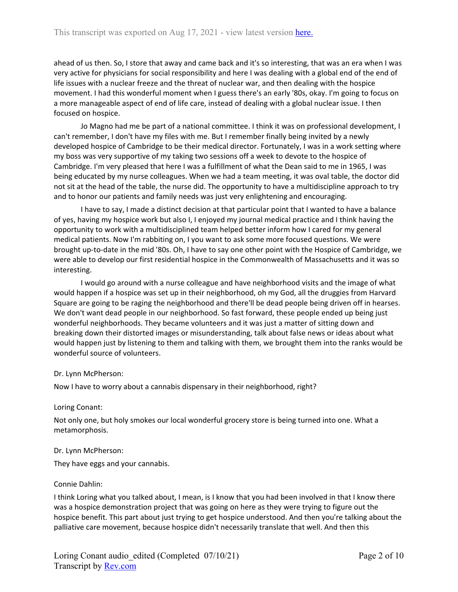ahead of us then. So, I store that away and came back and it's so interesting, that was an era when I was very active for physicians for social responsibility and here I was dealing with a global end of the end of life issues with a nuclear freeze and the threat of nuclear war, and then dealing with the hospice movement. I had this wonderful moment when I guess there's an early '80s, okay. I'm going to focus on a more manageable aspect of end of life care, instead of dealing with a global nuclear issue. I then focused on hospice.

Jo Magno had me be part of a national committee. I think it was on professional development, I can't remember, I don't have my files with me. But I remember finally being invited by a newly developed hospice of Cambridge to be their medical director. Fortunately, I was in a work setting where my boss was very supportive of my taking two sessions off a week to devote to the hospice of Cambridge. I'm very pleased that here I was a fulfillment of what the Dean said to me in 1965, I was being educated by my nurse colleagues. When we had a team meeting, it was oval table, the doctor did not sit at the head of the table, the nurse did. The opportunity to have a multidiscipline approach to try and to honor our patients and family needs was just very enlightening and encouraging.

I have to say, I made a distinct decision at that particular point that I wanted to have a balance of yes, having my hospice work but also I, I enjoyed my journal medical practice and I think having the opportunity to work with a multidisciplined team helped better inform how I cared for my general medical patients. Now I'm rabbiting on, I you want to ask some more focused questions. We were brought up-to-date in the mid '80s. Oh, I have to say one other point with the Hospice of Cambridge, we were able to develop our first residential hospice in the Commonwealth of Massachusetts and it was so interesting.

I would go around with a nurse colleague and have neighborhood visits and the image of what would happen if a hospice was set up in their neighborhood, oh my God, all the druggies from Harvard Square are going to be raging the neighborhood and there'll be dead people being driven off in hearses. We don't want dead people in our neighborhood. So fast forward, these people ended up being just wonderful neighborhoods. They became volunteers and it was just a matter of sitting down and breaking down their distorted images or misunderstanding, talk about false news or ideas about what would happen just by listening to them and talking with them, we brought them into the ranks would be wonderful source of volunteers.

### Dr. Lynn McPherson:

Now I have to worry about a cannabis dispensary in their neighborhood, right?

### Loring Conant:

Not only one, but holy smokes our local wonderful grocery store is being turned into one. What a metamorphosis.

#### Dr. Lynn McPherson:

They have eggs and your cannabis.

#### Connie Dahlin:

I think Loring what you talked about, I mean, is I know that you had been involved in that I know there was a hospice demonstration project that was going on here as they were trying to figure out the hospice benefit. This part about just trying to get hospice understood. And then you're talking about the palliative care movement, because hospice didn't necessarily translate that well. And then this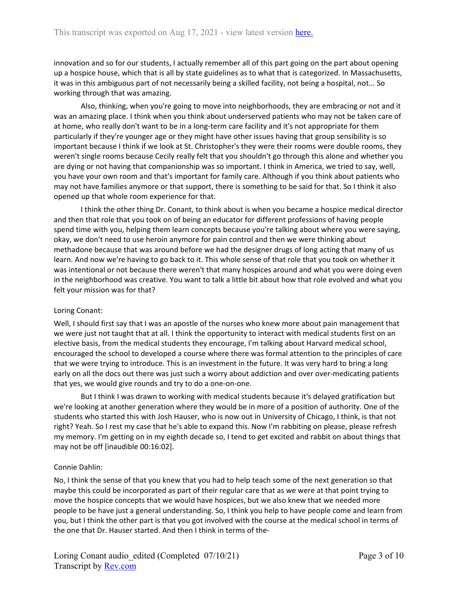innovation and so for our students, I actually remember all of this part going on the part about opening up a hospice house, which that is all by state guidelines as to what that is categorized. In Massachusetts, it was in this ambiguous part of not necessarily being a skilled facility, not being a hospital, not... So working through that was amazing.

Also, thinking, when you're going to move into neighborhoods, they are embracing or not and it was an amazing place. I think when you think about underserved patients who may not be taken care of at home, who really don't want to be in a long-term care facility and it's not appropriate for them particularly if they're younger age or they might have other issues having that group sensibility is so important because I think if we look at St. Christopher's they were their rooms were double rooms, they weren't single rooms because Cecily really felt that you shouldn't go through this alone and whether you are dying or not having that companionship was so important. I think in America, we tried to say, well, you have your own room and that's important for family care. Although if you think about patients who may not have families anymore or that support, there is something to be said for that. So I think it also opened up that whole room experience for that.

I think the other thing Dr. Conant, to think about is when you became a hospice medical director and then that role that you took on of being an educator for different professions of having people spend time with you, helping them learn concepts because you're talking about where you were saying, okay, we don't need to use heroin anymore for pain control and then we were thinking about methadone because that was around before we had the designer drugs of long acting that many of us learn. And now we're having to go back to it. This whole sense of that role that you took on whether it was intentional or not because there weren't that many hospices around and what you were doing even in the neighborhood was creative. You want to talk a little bit about how that role evolved and what you felt your mission was for that?

### Loring Conant:

Well, I should first say that I was an apostle of the nurses who knew more about pain management that we were just not taught that at all. I think the opportunity to interact with medical students first on an elective basis, from the medical students they encourage, I'm talking about Harvard medical school, encouraged the school to developed a course where there was formal attention to the principles of care that we were trying to introduce. This is an investment in the future. It was very hard to bring a long early on all the docs out there was just such a worry about addiction and over over-medicating patients that yes, we would give rounds and try to do a one-on-one.

But I think I was drawn to working with medical students because it's delayed gratification but we're looking at another generation where they would be in more of a position of authority. One of the students who started this with Josh Hauser, who is now out in University of Chicago, I think, is that not right? Yeah. So I rest my case that he's able to expand this. Now I'm rabbiting on please, please refresh my memory. I'm getting on in my eighth decade so, I tend to get excited and rabbit on about things that may not be off [inaudible 00:16:02].

### Connie Dahlin:

No, I think the sense of that you knew that you had to help teach some of the next generation so that maybe this could be incorporated as part of their regular care that as we were at that point trying to move the hospice concepts that we would have hospices, but we also knew that we needed more people to be have just a general understanding. So, I think you help to have people come and learn from you, but I think the other part is that you got involved with the course at the medical school in terms of the one that Dr. Hauser started. And then I think in terms of the-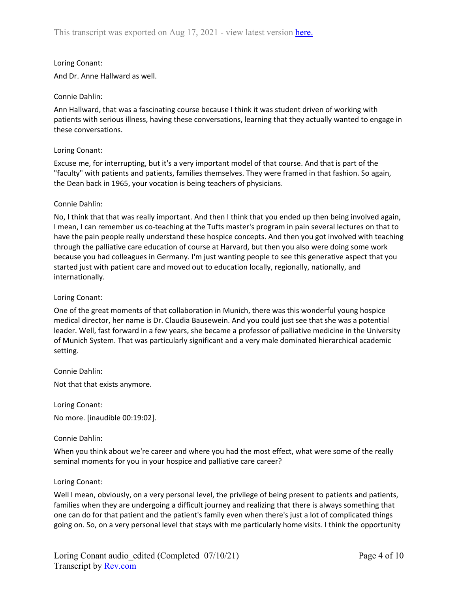### Loring Conant:

And Dr. Anne Hallward as well.

### Connie Dahlin:

Ann Hallward, that was a fascinating course because I think it was student driven of working with patients with serious illness, having these conversations, learning that they actually wanted to engage in these conversations.

## Loring Conant:

Excuse me, for interrupting, but it's a very important model of that course. And that is part of the "faculty" with patients and patients, families themselves. They were framed in that fashion. So again, the Dean back in 1965, your vocation is being teachers of physicians.

## Connie Dahlin:

No, I think that that was really important. And then I think that you ended up then being involved again, I mean, I can remember us co-teaching at the Tufts master's program in pain several lectures on that to have the pain people really understand these hospice concepts. And then you got involved with teaching through the palliative care education of course at Harvard, but then you also were doing some work because you had colleagues in Germany. I'm just wanting people to see this generative aspect that you started just with patient care and moved out to education locally, regionally, nationally, and internationally.

### Loring Conant:

One of the great moments of that collaboration in Munich, there was this wonderful young hospice medical director, her name is Dr. Claudia Bausewein. And you could just see that she was a potential leader. Well, fast forward in a few years, she became a professor of palliative medicine in the University of Munich System. That was particularly significant and a very male dominated hierarchical academic setting.

Connie Dahlin:

Not that that exists anymore.

Loring Conant: No more. [inaudible 00:19:02].

### Connie Dahlin:

When you think about we're career and where you had the most effect, what were some of the really seminal moments for you in your hospice and palliative care career?

### Loring Conant:

Well I mean, obviously, on a very personal level, the privilege of being present to patients and patients, families when they are undergoing a difficult journey and realizing that there is always something that one can do for that patient and the patient's family even when there's just a lot of complicated things going on. So, on a very personal level that stays with me particularly home visits. I think the opportunity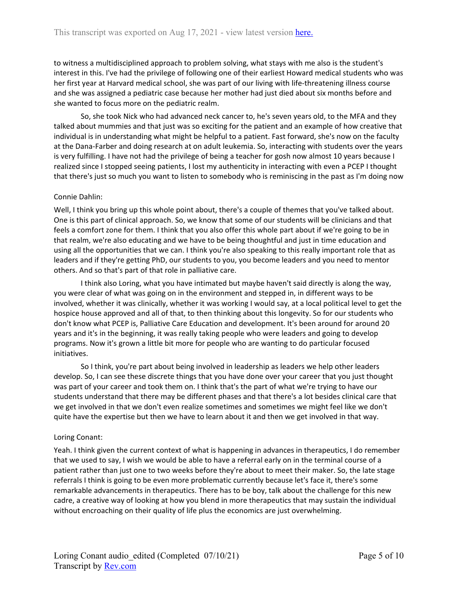to witness a multidisciplined approach to problem solving, what stays with me also is the student's interest in this. I've had the privilege of following one of their earliest Howard medical students who was her first year at Harvard medical school, she was part of our living with life-threatening illness course and she was assigned a pediatric case because her mother had just died about six months before and she wanted to focus more on the pediatric realm.

So, she took Nick who had advanced neck cancer to, he's seven years old, to the MFA and they talked about mummies and that just was so exciting for the patient and an example of how creative that individual is in understanding what might be helpful to a patient. Fast forward, she's now on the faculty at the Dana-Farber and doing research at on adult leukemia. So, interacting with students over the years is very fulfilling. I have not had the privilege of being a teacher for gosh now almost 10 years because I realized since I stopped seeing patients, I lost my authenticity in interacting with even a PCEP I thought that there's just so much you want to listen to somebody who is reminiscing in the past as I'm doing now

## Connie Dahlin:

Well, I think you bring up this whole point about, there's a couple of themes that you've talked about. One is this part of clinical approach. So, we know that some of our students will be clinicians and that feels a comfort zone for them. I think that you also offer this whole part about if we're going to be in that realm, we're also educating and we have to be being thoughtful and just in time education and using all the opportunities that we can. I think you're also speaking to this really important role that as leaders and if they're getting PhD, our students to you, you become leaders and you need to mentor others. And so that's part of that role in palliative care.

I think also Loring, what you have intimated but maybe haven't said directly is along the way, you were clear of what was going on in the environment and stepped in, in different ways to be involved, whether it was clinically, whether it was working I would say, at a local political level to get the hospice house approved and all of that, to then thinking about this longevity. So for our students who don't know what PCEP is, Palliative Care Education and development. It's been around for around 20 years and it's in the beginning, it was really taking people who were leaders and going to develop programs. Now it's grown a little bit more for people who are wanting to do particular focused initiatives.

So I think, you're part about being involved in leadership as leaders we help other leaders develop. So, I can see these discrete things that you have done over your career that you just thought was part of your career and took them on. I think that's the part of what we're trying to have our students understand that there may be different phases and that there's a lot besides clinical care that we get involved in that we don't even realize sometimes and sometimes we might feel like we don't quite have the expertise but then we have to learn about it and then we get involved in that way.

### Loring Conant:

Yeah. I think given the current context of what is happening in advances in therapeutics, I do remember that we used to say, I wish we would be able to have a referral early on in the terminal course of a patient rather than just one to two weeks before they're about to meet their maker. So, the late stage referrals I think is going to be even more problematic currently because let's face it, there's some remarkable advancements in therapeutics. There has to be boy, talk about the challenge for this new cadre, a creative way of looking at how you blend in more therapeutics that may sustain the individual without encroaching on their quality of life plus the economics are just overwhelming.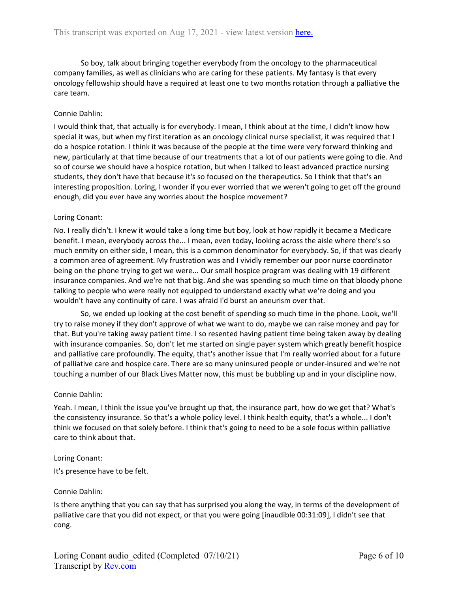So boy, talk about bringing together everybody from the oncology to the pharmaceutical company families, as well as clinicians who are caring for these patients. My fantasy is that every oncology fellowship should have a required at least one to two months rotation through a palliative the care team.

### Connie Dahlin:

I would think that, that actually is for everybody. I mean, I think about at the time, I didn't know how special it was, but when my first iteration as an oncology clinical nurse specialist, it was required that I do a hospice rotation. I think it was because of the people at the time were very forward thinking and new, particularly at that time because of our treatments that a lot of our patients were going to die. And so of course we should have a hospice rotation, but when I talked to least advanced practice nursing students, they don't have that because it's so focused on the therapeutics. So I think that that's an interesting proposition. Loring, I wonder if you ever worried that we weren't going to get off the ground enough, did you ever have any worries about the hospice movement?

## Loring Conant:

No. I really didn't. I knew it would take a long time but boy, look at how rapidly it became a Medicare benefit. I mean, everybody across the... I mean, even today, looking across the aisle where there's so much enmity on either side, I mean, this is a common denominator for everybody. So, if that was clearly a common area of agreement. My frustration was and I vividly remember our poor nurse coordinator being on the phone trying to get we were... Our small hospice program was dealing with 19 different insurance companies. And we're not that big. And she was spending so much time on that bloody phone talking to people who were really not equipped to understand exactly what we're doing and you wouldn't have any continuity of care. I was afraid I'd burst an aneurism over that.

So, we ended up looking at the cost benefit of spending so much time in the phone. Look, we'll try to raise money if they don't approve of what we want to do, maybe we can raise money and pay for that. But you're taking away patient time. I so resented having patient time being taken away by dealing with insurance companies. So, don't let me started on single payer system which greatly benefit hospice and palliative care profoundly. The equity, that's another issue that I'm really worried about for a future of palliative care and hospice care. There are so many uninsured people or under-insured and we're not touching a number of our Black Lives Matter now, this must be bubbling up and in your discipline now.

### Connie Dahlin:

Yeah. I mean, I think the issue you've brought up that, the insurance part, how do we get that? What's the consistency insurance. So that's a whole policy level. I think health equity, that's a whole... I don't think we focused on that solely before. I think that's going to need to be a sole focus within palliative care to think about that.

### Loring Conant:

It's presence have to be felt.

### Connie Dahlin:

Is there anything that you can say that has surprised you along the way, in terms of the development of palliative care that you did not expect, or that you were going [inaudible 00:31:09], I didn't see that cong.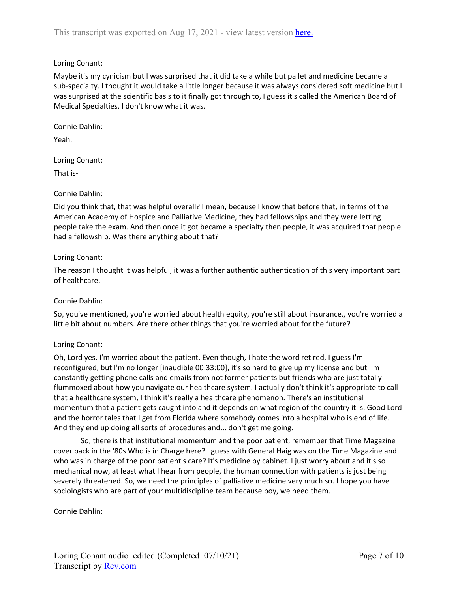# Loring Conant:

Maybe it's my cynicism but I was surprised that it did take a while but pallet and medicine became a sub-specialty. I thought it would take a little longer because it was always considered soft medicine but I was surprised at the scientific basis to it finally got through to, I guess it's called the American Board of Medical Specialties, I don't know what it was.

Connie Dahlin:

Yeah.

Loring Conant:

That is-

## Connie Dahlin:

Did you think that, that was helpful overall? I mean, because I know that before that, in terms of the American Academy of Hospice and Palliative Medicine, they had fellowships and they were letting people take the exam. And then once it got became a specialty then people, it was acquired that people had a fellowship. Was there anything about that?

## Loring Conant:

The reason I thought it was helpful, it was a further authentic authentication of this very important part of healthcare.

## Connie Dahlin:

So, you've mentioned, you're worried about health equity, you're still about insurance., you're worried a little bit about numbers. Are there other things that you're worried about for the future?

## Loring Conant:

Oh, Lord yes. I'm worried about the patient. Even though, I hate the word retired, I guess I'm reconfigured, but I'm no longer [inaudible 00:33:00], it's so hard to give up my license and but I'm constantly getting phone calls and emails from not former patients but friends who are just totally flummoxed about how you navigate our healthcare system. I actually don't think it's appropriate to call that a healthcare system, I think it's really a healthcare phenomenon. There's an institutional momentum that a patient gets caught into and it depends on what region of the country it is. Good Lord and the horror tales that I get from Florida where somebody comes into a hospital who is end of life. And they end up doing all sorts of procedures and... don't get me going.

So, there is that institutional momentum and the poor patient, remember that Time Magazine cover back in the '80s Who is in Charge here? I guess with General Haig was on the Time Magazine and who was in charge of the poor patient's care? It's medicine by cabinet. I just worry about and it's so mechanical now, at least what I hear from people, the human connection with patients is just being severely threatened. So, we need the principles of palliative medicine very much so. I hope you have sociologists who are part of your multidiscipline team because boy, we need them.

Connie Dahlin: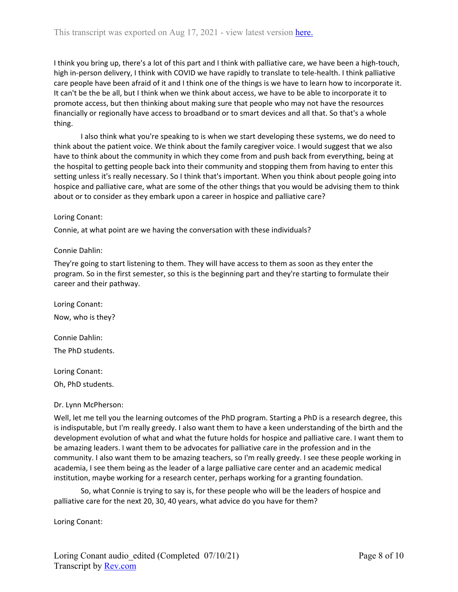I think you bring up, there's a lot of this part and I think with palliative care, we have been a high-touch, high in-person delivery, I think with COVID we have rapidly to translate to tele-health. I think palliative care people have been afraid of it and I think one of the things is we have to learn how to incorporate it. It can't be the be all, but I think when we think about access, we have to be able to incorporate it to promote access, but then thinking about making sure that people who may not have the resources financially or regionally have access to broadband or to smart devices and all that. So that's a whole thing.

I also think what you're speaking to is when we start developing these systems, we do need to think about the patient voice. We think about the family caregiver voice. I would suggest that we also have to think about the community in which they come from and push back from everything, being at the hospital to getting people back into their community and stopping them from having to enter this setting unless it's really necessary. So I think that's important. When you think about people going into hospice and palliative care, what are some of the other things that you would be advising them to think about or to consider as they embark upon a career in hospice and palliative care?

## Loring Conant:

Connie, at what point are we having the conversation with these individuals?

## Connie Dahlin:

They're going to start listening to them. They will have access to them as soon as they enter the program. So in the first semester, so this is the beginning part and they're starting to formulate their career and their pathway.

Loring Conant: Now, who is they?

Connie Dahlin: The PhD students.

Loring Conant:

Oh, PhD students.

## Dr. Lynn McPherson:

Well, let me tell you the learning outcomes of the PhD program. Starting a PhD is a research degree, this is indisputable, but I'm really greedy. I also want them to have a keen understanding of the birth and the development evolution of what and what the future holds for hospice and palliative care. I want them to be amazing leaders. I want them to be advocates for palliative care in the profession and in the community. I also want them to be amazing teachers, so I'm really greedy. I see these people working in academia, I see them being as the leader of a large palliative care center and an academic medical institution, maybe working for a research center, perhaps working for a granting foundation.

So, what Connie is trying to say is, for these people who will be the leaders of hospice and palliative care for the next 20, 30, 40 years, what advice do you have for them?

Loring Conant: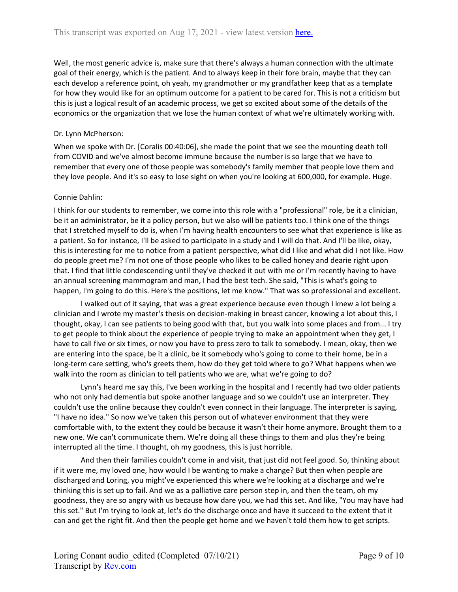Well, the most generic advice is, make sure that there's always a human connection with the ultimate goal of their energy, which is the patient. And to always keep in their fore brain, maybe that they can each develop a reference point, oh yeah, my grandmother or my grandfather keep that as a template for how they would like for an optimum outcome for a patient to be cared for. This is not a criticism but this is just a logical result of an academic process, we get so excited about some of the details of the economics or the organization that we lose the human context of what we're ultimately working with.

# Dr. Lynn McPherson:

When we spoke with Dr. [Coralis 00:40:06], she made the point that we see the mounting death toll from COVID and we've almost become immune because the number is so large that we have to remember that every one of those people was somebody's family member that people love them and they love people. And it's so easy to lose sight on when you're looking at 600,000, for example. Huge.

# Connie Dahlin:

I think for our students to remember, we come into this role with a "professional" role, be it a clinician, be it an administrator, be it a policy person, but we also will be patients too. I think one of the things that I stretched myself to do is, when I'm having health encounters to see what that experience is like as a patient. So for instance, I'll be asked to participate in a study and I will do that. And I'll be like, okay, this is interesting for me to notice from a patient perspective, what did I like and what did I not like. How do people greet me? I'm not one of those people who likes to be called honey and dearie right upon that. I find that little condescending until they've checked it out with me or I'm recently having to have an annual screening mammogram and man, I had the best tech. She said, "This is what's going to happen, I'm going to do this. Here's the positions, let me know." That was so professional and excellent.

I walked out of it saying, that was a great experience because even though I knew a lot being a clinician and I wrote my master's thesis on decision-making in breast cancer, knowing a lot about this, I thought, okay, I can see patients to being good with that, but you walk into some places and from... I try to get people to think about the experience of people trying to make an appointment when they get, I have to call five or six times, or now you have to press zero to talk to somebody. I mean, okay, then we are entering into the space, be it a clinic, be it somebody who's going to come to their home, be in a long-term care setting, who's greets them, how do they get told where to go? What happens when we walk into the room as clinician to tell patients who we are, what we're going to do?

Lynn's heard me say this, I've been working in the hospital and I recently had two older patients who not only had dementia but spoke another language and so we couldn't use an interpreter. They couldn't use the online because they couldn't even connect in their language. The interpreter is saying, "I have no idea." So now we've taken this person out of whatever environment that they were comfortable with, to the extent they could be because it wasn't their home anymore. Brought them to a new one. We can't communicate them. We're doing all these things to them and plus they're being interrupted all the time. I thought, oh my goodness, this is just horrible.

And then their families couldn't come in and visit, that just did not feel good. So, thinking about if it were me, my loved one, how would I be wanting to make a change? But then when people are discharged and Loring, you might've experienced this where we're looking at a discharge and we're thinking this is set up to fail. And we as a palliative care person step in, and then the team, oh my goodness, they are so angry with us because how dare you, we had this set. And like, "You may have had this set." But I'm trying to look at, let's do the discharge once and have it succeed to the extent that it can and get the right fit. And then the people get home and we haven't told them how to get scripts.